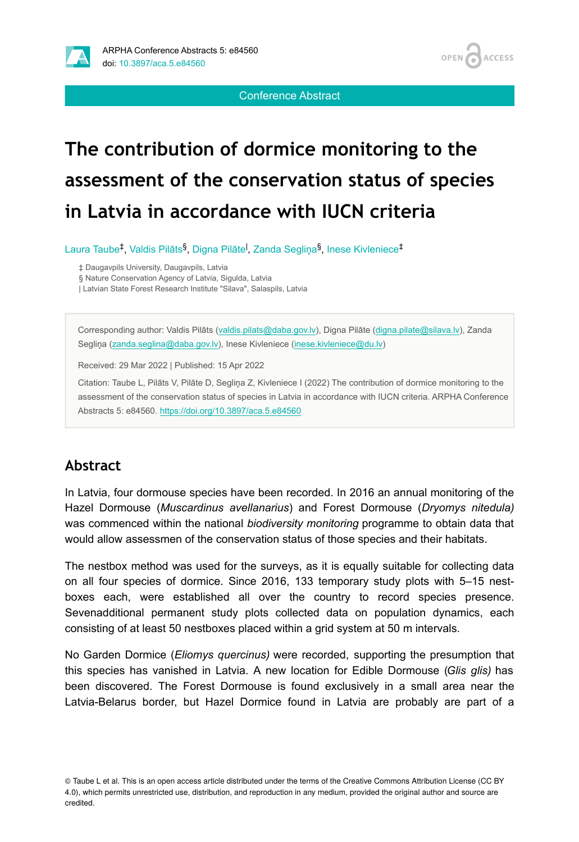



Conference Abstract

# **The contribution of dormice monitoring to the assessment of the conservation status of species in Latvia in accordance with IUCN criteria**

Laura Taube<sup>‡</sup>, Valdis Pilāts<sup>§</sup>, Digna Pilāte<sup>l</sup>, Zanda Segliņa<sup>§</sup>, Inese Kivleniece<sup>‡</sup>

‡ Daugavpils University, Daugavpils, Latvia

§ Nature Conservation Agency of Latvia, Sigulda, Latvia

| Latvian State Forest Research Institute "Silava", Salaspils, Latvia

Corresponding author: Valdis Pilāts [\(valdis.pilats@daba.gov.lv\)](mailto:valdis.pilats@daba.gov.lv), Digna Pilāte [\(digna.pilate@silava.lv](mailto:digna.pilate@silava.lv)), Zanda Segliņa ([zanda.seglina@daba.gov.lv](mailto:zanda.seglina@daba.gov.lv)), Inese Kivleniece ([inese.kivleniece@du.lv\)](mailto:inese.kivleniece@du.lv)

Received: 29 Mar 2022 | Published: 15 Apr 2022

Citation: Taube L, Pilāts V, Pilāte D, Segliņa Z, Kivleniece I (2022) The contribution of dormice monitoring to the assessment of the conservation status of species in Latvia in accordance with IUCN criteria. ARPHA Conference Abstracts 5: e84560.<https://doi.org/10.3897/aca.5.e84560>

#### **Abstract**

In Latvia, four dormouse species have been recorded. In 2016 an annual monitoring of the Hazel Dormouse (*Muscardinus avellanarius*) and Forest Dormouse (*Dryomys nitedula)* was commenced within the national *biodiversity monitoring* programme to obtain data that would allow assessmen of the conservation status of those species and their habitats.

The nestbox method was used for the surveys, as it is equally suitable for collecting data on all four species of dormice. Since 2016, 133 temporary study plots with 5–15 nestboxes each, were established all over the country to record species presence. Sevenadditional permanent study plots collected data on population dynamics, each consisting of at least 50 nestboxes placed within a grid system at 50 m intervals.

No Garden Dormice (*Eliomys quercinus)* were recorded, supporting the presumption that this species has vanished in Latvia. A new location for Edible Dormouse (*Glis glis)* has been discovered. The Forest Dormouse is found exclusively in a small area near the Latvia-Belarus border, but Hazel Dormice found in Latvia are probably are part of a

© Taube L et al. This is an open access article distributed under the terms of the Creative Commons Attribution License (CC BY 4.0), which permits unrestricted use, distribution, and reproduction in any medium, provided the original author and source are credited.